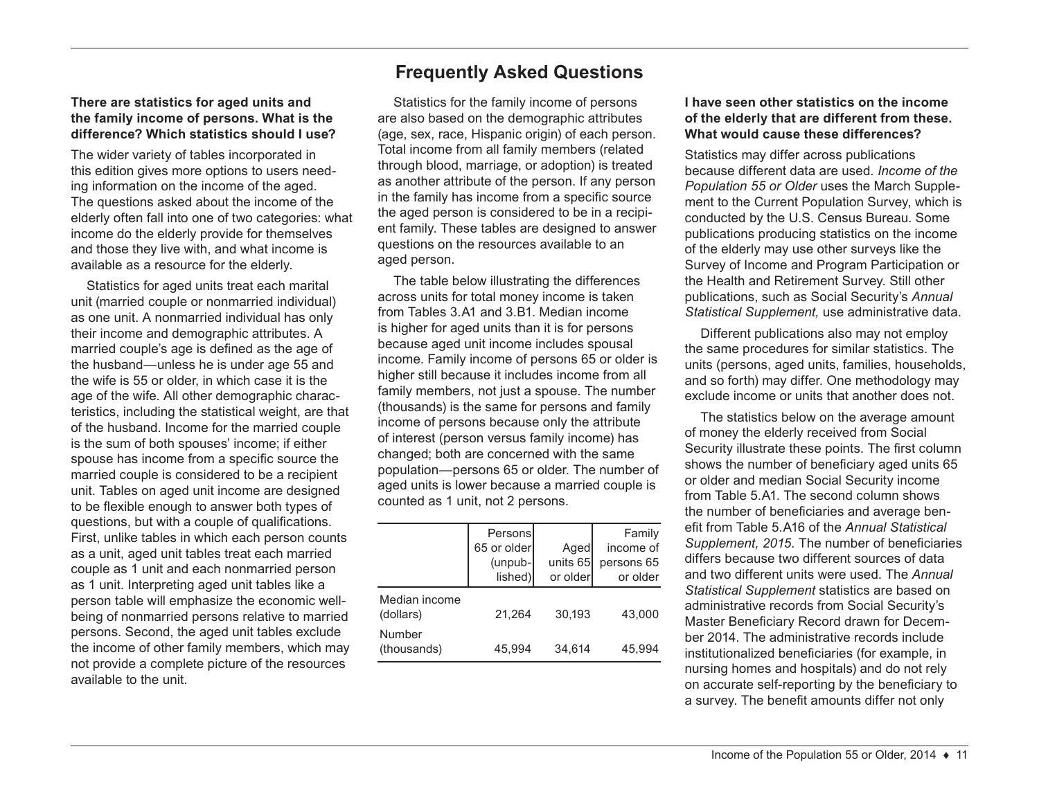#### **There are statistics for aged units and the family income of persons. What is the difference? Which statistics should I use?**

The wider variety of tables incorporated in this edition gives more options to users needing information on the income of the aged. The questions asked about the income of the elderly often fall into one of two categories: what income do the elderly provide for themselves and those they live with, and what income is available as a resource for the elderly.

Statistics for aged units treat each marital unit (married couple or nonmarried individual) as one unit. A nonmarried individual has only their income and demographic attributes. A married couple's age is defined as the age of the husband—unless he is under age 55 and the wife is 55 or older, in which case it is the age of the wife. All other demographic characteristics, including the statistical weight, are that of the husband. Income for the married couple is the sum of both spouses' income; if either spouse has income from a specific source the married couple is considered to be a recipient unit. Tables on aged unit income are designed to be flexible enough to answer both types of questions, but with a couple of qualifications. First, unlike tables in which each person counts as a unit, aged unit tables treat each married couple as 1 unit and each nonmarried person as 1 unit. Interpreting aged unit tables like a person table will emphasize the economic wellbeing of nonmarried persons relative to married persons. Second, the aged unit tables exclude the income of other family members, which may not provide a complete picture of the resources available to the unit.

# **Frequently Asked Questions**

Statistics for the family income of persons are also based on the demographic attributes (age, sex, race, Hispanic origin) of each person. Total income from all family members (related through blood, marriage, or adoption) is treated as another attribute of the person. If any person in the family has income from a specific source the aged person is considered to be in a recipient family. These tables are designed to answer questions on the resources available to an aged person.

The table below illustrating the differences across units for total money income is taken from Tables 3.A1 and 3.B1. Median income is higher for aged units than it is for persons because aged unit income includes spousal income. Family income of persons 65 or older is higher still because it includes income from all family members, not just a spouse. The number (thousands) is the same for persons and family income of persons because only the attribute of interest (person versus family income) has changed; both are concerned with the same population—persons 65 or older. The number of aged units is lower because a married couple is counted as 1 unit, not 2 persons.

|                            | Personsl<br>65 or older<br>(unpub-<br>lished) | Aged<br>units $65$<br>or older | Family<br>income of<br>persons 65<br>or older |
|----------------------------|-----------------------------------------------|--------------------------------|-----------------------------------------------|
| Median income<br>(dollars) | 21.264                                        | 30.193                         | 43,000                                        |
| Number<br>(thousands)      | 45,994                                        | 34,614                         | 45,994                                        |

# **I have seen other statistics on the income of the elderly that are different from these. What would cause these differences?**

Statistics may differ across publications because different data are used. *Income of the Population 55 or Older* uses the March Supplement to the Current Population Survey, which is conducted by the U.S. Census Bureau. Some publications producing statistics on the income of the elderly may use other surveys like the Survey of Income and Program Participation or the Health and Retirement Survey. Still other publications, such as Social Security's *Annual Statistical Supplement,* use administrative data.

Different publications also may not employ the same procedures for similar statistics. The units (persons, aged units, families, households, and so forth) may differ. One methodology may exclude income or units that another does not.

The statistics below on the average amount of money the elderly received from Social Security illustrate these points. The first column shows the number of beneficiary aged units 65 or older and median Social Security income from Table 5.A1. The second column shows the number of beneficiaries and average benefit from Table 5.A16 of the *Annual Statistical Supplement, 2015.* The number of beneficiaries differs because two different sources of data and two different units were used. The *Annual Statistical Supplement* statistics are based on administrative records from Social Security's Master Beneficiary Record drawn for December 2014. The administrative records include institutionalized beneficiaries (for example, in nursing homes and hospitals) and do not rely on accurate self-reporting by the beneficiary to a survey. The benefit amounts differ not only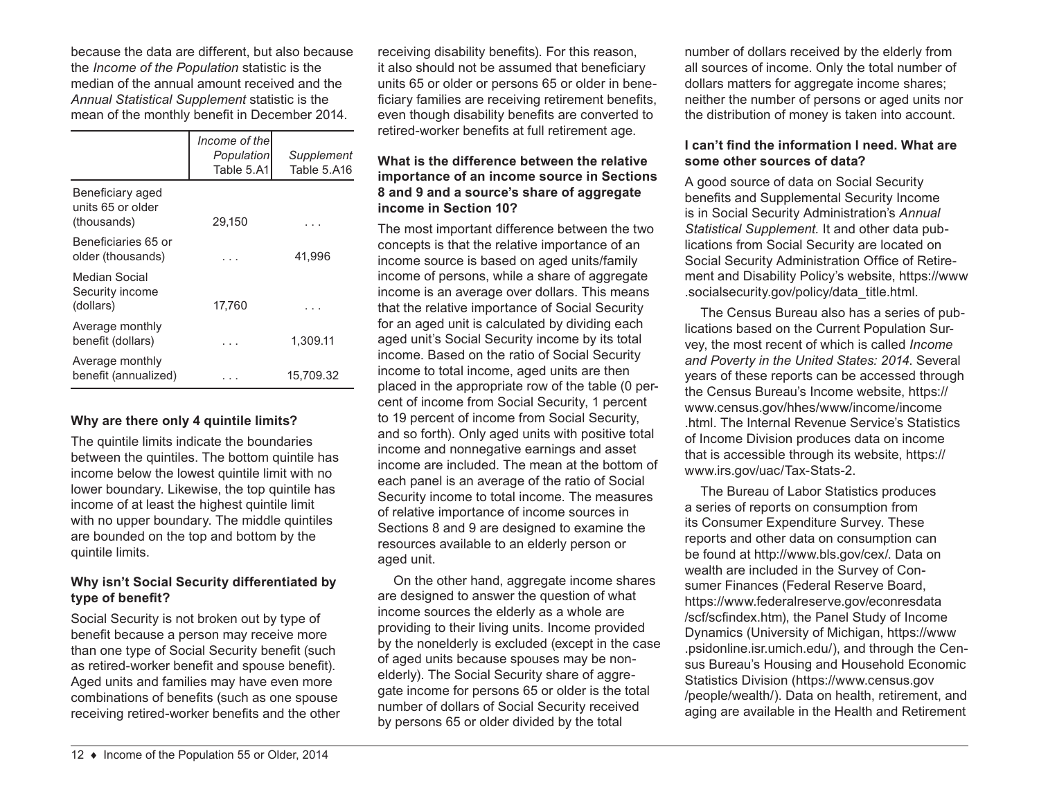because the data are different, but also because the *Income of the Population* statistic is the median of the annual amount received and the *Annual Statistical Supplement* statistic is the mean of the monthly benefit in December 2014.

|                                                      | Income of the<br>Population<br>Table 5.A1 | Supplement<br>Table 5.A16 |
|------------------------------------------------------|-------------------------------------------|---------------------------|
| Beneficiary aged<br>units 65 or older<br>(thousands) | 29,150                                    |                           |
| Beneficiaries 65 or<br>older (thousands)             |                                           | 41,996                    |
| Median Social<br>Security income<br>(dollars)        | 17,760                                    |                           |
| Average monthly<br>benefit (dollars)                 |                                           | 1,309.11                  |
| Average monthly<br>benefit (annualized)              |                                           | 15,709.32                 |

#### **Why are there only 4 quintile limits?**

The quintile limits indicate the boundaries between the quintiles. The bottom quintile has income below the lowest quintile limit with no lower boundary. Likewise, the top quintile has income of at least the highest quintile limit with no upper boundary. The middle quintiles are bounded on the top and bottom by the quintile limits.

# **Why isn't Social Security differentiated by type of benefit?**

Social Security is not broken out by type of benefit because a person may receive more than one type of Social Security benefit (such as retired-worker benefit and spouse benefit). Aged units and families may have even more combinations of benefits (such as one spouse receiving retired-worker benefits and the other

receiving disability benefits). For this reason, it also should not be assumed that beneficiary units 65 or older or persons 65 or older in beneficiary families are receiving retirement benefits, even though disability benefits are converted to retired-worker benefits at full retirement age.

# **What is the difference between the relative importance of an income source in Sections 8 and 9 and a source's share of aggregate income in Section 10?**

The most important difference between the two concepts is that the relative importance of an income source is based on aged units/family income of persons, while a share of aggregate income is an average over dollars. This means that the relative importance of Social Security for an aged unit is calculated by dividing each aged unit's Social Security income by its total income. Based on the ratio of Social Security income to total income, aged units are then placed in the appropriate row of the table (0 percent of income from Social Security, 1 percent to 19 percent of income from Social Security, and so forth). Only aged units with positive total income and nonnegative earnings and asset income are included. The mean at the bottom of each panel is an average of the ratio of Social Security income to total income. The measures of relative importance of income sources in Sections 8 and 9 are designed to examine the resources available to an elderly person or aged unit.

On the other hand, aggregate income shares are designed to answer the question of what income sources the elderly as a whole are providing to their living units. Income provided by the nonelderly is excluded (except in the case of aged units because spouses may be nonelderly). The Social Security share of aggregate income for persons 65 or older is the total number of dollars of Social Security received by persons 65 or older divided by the total

number of dollars received by the elderly from all sources of income. Only the total number of dollars matters for aggregate income shares; neither the number of persons or aged units nor the distribution of money is taken into account.

# **I can't find the information I need. What are some other sources of data?**

A good source of data on Social Security benefits and Supplemental Security Income is in Social Security Administration's *Annual Statistical Supplement.* It and other data publications from Social Security are located on Social Security Administration Office of Retirement and Disability Policy's website, [https://www](https://www.socialsecurity.gov/policy/data_title.html) [.socialsecurity.gov/policy/data\\_title.html](https://www.socialsecurity.gov/policy/data_title.html).

The Census Bureau also has a series of publications based on the Current Population Survey, the most recent of which is called *Income and Poverty in the United States: 2014*. Several years of these reports can be accessed through the Census Bureau's Income website, [https://](https://www.census.gov/hhes/www/income/income.html) [www.census.gov/hhes/www/income/income](https://www.census.gov/hhes/www/income/income.html) [.html](https://www.census.gov/hhes/www/income/income.html). The Internal Revenue Service's Statistics of Income Division produces data on income that is accessible through its website, [https://](https://www.irs.gov/uac/Tax-Stats-2) [www.irs.gov/uac/Tax-Stats-2](https://www.irs.gov/uac/Tax-Stats-2).

The Bureau of Labor Statistics produces a series of reports on consumption from its Consumer Expenditure Survey. These reports and other data on consumption can be found at <http://www.bls.gov/cex/>. Data on wealth are included in the Survey of Consumer Finances (Federal Reserve Board, [https://www.federalreserve.gov/econresdata](https://www.federalreserve.gov/econresdata/scf/scfindex.htm) [/scf/scfindex.htm](https://www.federalreserve.gov/econresdata/scf/scfindex.htm)), the Panel Study of Income Dynamics (University of Michigan, [https://www](https://www.psidonline.isr.umich.edu/) [.psidonline.isr.umich.edu/\)](https://www.psidonline.isr.umich.edu/), and through the Census Bureau's Housing and Household Economic Statistics Division ([https://www.census.gov](https://www.census.gov/people/wealth/) [/people/wealth/](https://www.census.gov/people/wealth/)). Data on health, retirement, and aging are available in the Health and Retirement